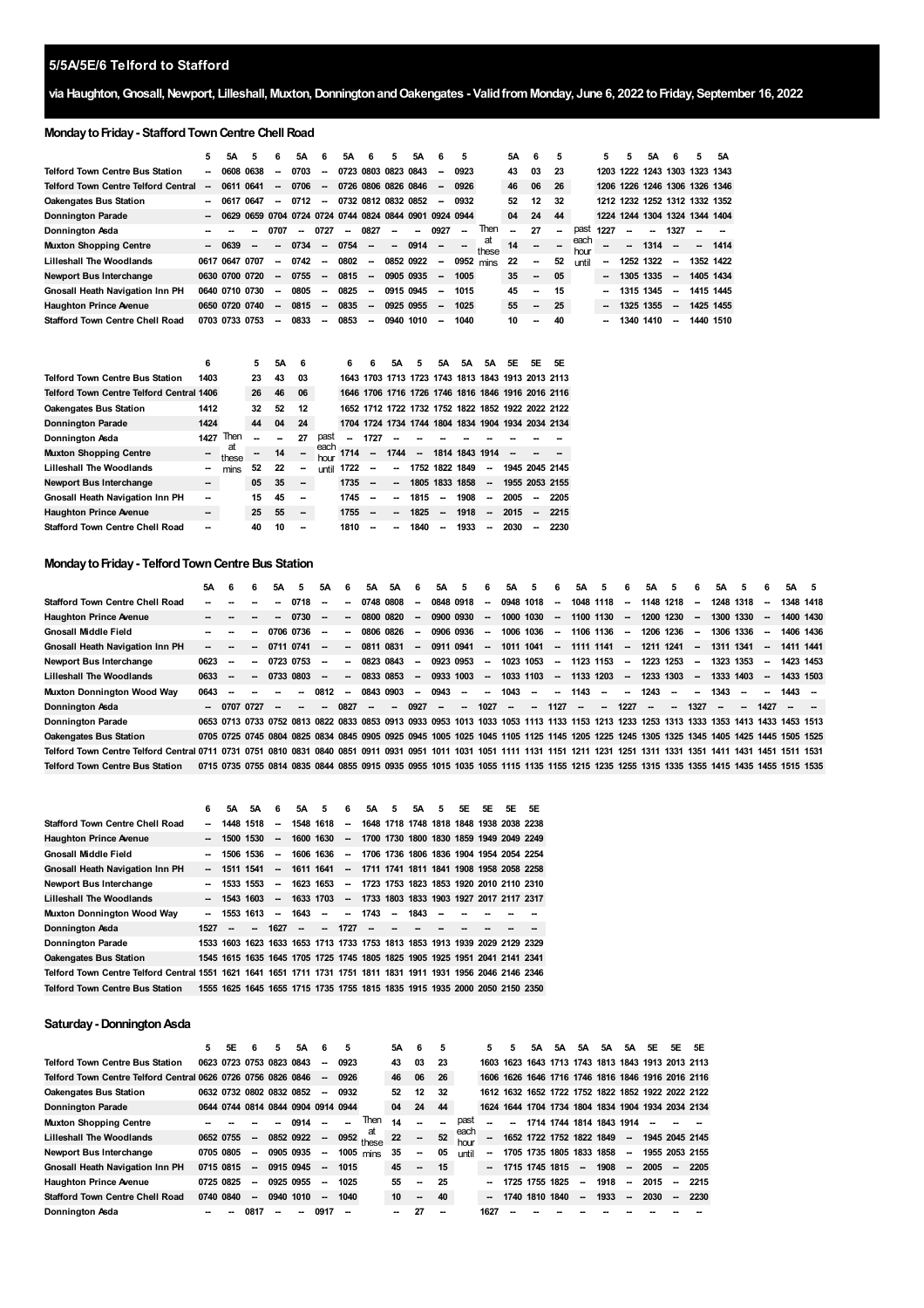# **via Haughton,Gnosall,Newport, Lilleshall, Muxton,DonningtonandOakengates - ValidfromMonday, June 6, 2022 toFriday, September 16, 2022**

# **Monday to Friday - Stafford Town Centre Chell Road**

|                                            | 5.                       | 5Α             | 5.   | 6                                       | 5Α   | 6                        | 5A   | 6                        | 5.                       | 5Α   |                          | 5                        |       | 5А | 6  | 5                        |              | 5.                       | 5         | 5Α   | 6                             | 5.        | 5Α        |
|--------------------------------------------|--------------------------|----------------|------|-----------------------------------------|------|--------------------------|------|--------------------------|--------------------------|------|--------------------------|--------------------------|-------|----|----|--------------------------|--------------|--------------------------|-----------|------|-------------------------------|-----------|-----------|
| <b>Telford Town Centre Bus Station</b>     | $\overline{\phantom{a}}$ | 0608 0638      |      | $\sim$                                  | 0703 | $\overline{\phantom{a}}$ |      |                          | 0723 0803 0823 0843      |      | $\sim$                   | 0923                     |       | 43 | 03 | -23                      |              |                          |           |      | 1203 1222 1243 1303 1323 1343 |           |           |
| <b>Telford Town Centre Telford Central</b> | --                       | 0611 0641      |      | $\overline{\phantom{a}}$                | 0706 | $\overline{\phantom{a}}$ |      |                          | 0726 0806 0826 0846      |      | $\sim$                   | 0926                     |       | 46 | 06 | 26                       |              |                          |           |      | 1206 1226 1246 1306 1326 1346 |           |           |
| <b>Oakengates Bus Station</b>              | --                       | 0617           | 0647 | $\overline{\phantom{a}}$                | 0712 | $\overline{\phantom{a}}$ |      |                          | 0732 0812 0832 0852      |      | $\overline{\phantom{a}}$ | 0932                     |       | 52 | 12 | 32                       |              |                          |           |      | 1212 1232 1252 1312 1332 1352 |           |           |
| <b>Donnington Parade</b>                   | $\overline{\phantom{a}}$ | 0629           |      | 0659 0704 0724 0724 0744 0824 0844 0901 |      |                          |      |                          |                          |      | 0924 0944                |                          |       | 04 | 24 | 44                       |              |                          |           |      | 1224 1244 1304 1324 1344 1404 |           |           |
| Donnington Asda                            |                          |                |      |                                         |      | 0727                     |      | 0827                     |                          |      | 0927                     | $\overline{\phantom{a}}$ | Then  |    | 27 | $\overline{\phantom{a}}$ | past         | 1227                     |           |      | 1327                          |           |           |
| <b>Muxton Shopping Centre</b>              | $\overline{\phantom{a}}$ | 0639           |      | --                                      | 0734 | $\overline{\phantom{a}}$ | 0754 | $\overline{\phantom{a}}$ | $\overline{\phantom{a}}$ | 0914 | $\overline{\phantom{a}}$ |                          | these | 14 | -- |                          | each<br>hour |                          |           | 1314 |                               | $\sim$    | 1414      |
| <b>Lilleshall The Woodlands</b>            |                          | 0617 0647 0707 |      | $\sim$                                  | 0742 | $\overline{\phantom{a}}$ | 0802 | $\overline{\phantom{a}}$ | 0852 0922                |      | $\sim$                   | $0952$ mins              |       | 22 | -  | 52                       | until        | $\overline{\phantom{a}}$ | 1252 1322 |      | -                             | 1352 1422 |           |
| Newport Bus Interchange                    |                          | 0630 0700 0720 |      | $\overline{\phantom{a}}$                | 0755 | $\overline{\phantom{a}}$ | 0815 | $\overline{\phantom{a}}$ | 0905 0935                |      | $\overline{a}$           | 1005                     |       | 35 | -- | 05                       |              | -                        | 1305 1335 |      | -                             | 1405 1434 |           |
| <b>Gnosall Heath Navigation Inn PH</b>     |                          | 0640 0710 0730 |      | --                                      | 0805 | $\overline{\phantom{a}}$ | 0825 | $\overline{\phantom{a}}$ | 0915 0945                |      | --                       | 1015                     |       | 45 | -- | 15                       |              | -                        | 1315 1345 |      | -                             | 1415 1445 |           |
| <b>Haughton Prince Avenue</b>              |                          | 0650 0720 0740 |      | --                                      | 0815 | $\overline{\phantom{a}}$ | 0835 | $\overline{\phantom{a}}$ | 0925 0955                |      | $\sim$                   | 1025                     |       | 55 | -- | 25                       |              | -                        | 1325 1355 |      | $\overline{\phantom{a}}$      |           | 1425 1455 |
| <b>Stafford Town Centre Chell Road</b>     |                          | 0703 0733 0753 |      | --                                      | 0833 | --                       | 0853 | $\overline{\phantom{a}}$ | 0940                     | 1010 |                          | 1040                     |       | 10 | -- | 40                       |              | --                       | 1340      | 1410 | -                             | 1440 1510 |           |

|                                                 | 6    |             | 5  | 5Α | 6  |              | 6    | 6                        | 5А                       | 5                        | 5А                       | 5A                                                | 5A                       | 5E   | 5F     | 5E             |
|-------------------------------------------------|------|-------------|----|----|----|--------------|------|--------------------------|--------------------------|--------------------------|--------------------------|---------------------------------------------------|--------------------------|------|--------|----------------|
| <b>Telford Town Centre Bus Station</b>          | 1403 |             | 23 | 43 | 03 |              |      |                          |                          |                          |                          | 1643 1703 1713 1723 1743 1813 1843 1913 2013 2113 |                          |      |        |                |
| <b>Telford Town Centre Telford Central 1406</b> |      |             | 26 | 46 | 06 |              |      |                          |                          |                          |                          | 1646 1706 1716 1726 1746 1816 1846 1916 2016 2116 |                          |      |        |                |
| Oakengates Bus Station                          | 1412 |             | 32 | 52 | 12 |              |      |                          |                          |                          |                          | 1652 1712 1722 1732 1752 1822 1852 1922 2022 2122 |                          |      |        |                |
| <b>Donnington Parade</b>                        | 1424 |             | 44 | 04 | 24 |              |      |                          |                          |                          |                          | 1704 1724 1734 1744 1804 1834 1904 1934 2034 2134 |                          |      |        |                |
| Donnington Asda                                 | 1427 | Then        |    |    | 27 | past         | --   | 1727                     |                          |                          |                          |                                                   |                          |      |        |                |
| <b>Muxton Shopping Centre</b>                   |      | at<br>these |    | 14 | -- | each<br>hour | 1714 | $\overline{\phantom{a}}$ | 1744                     | $\overline{\phantom{a}}$ |                          | 1814 1843 1914                                    |                          |      |        |                |
| <b>Lilleshall The Woodlands</b>                 |      | mins        | 52 | 22 | -  | until        | 1722 | $\overline{\phantom{a}}$ | $\overline{\phantom{a}}$ |                          |                          | 1752 1822 1849                                    | $\overline{\phantom{a}}$ |      |        | 1945 2045 2145 |
| <b>Newport Bus Interchange</b>                  | --   |             | 05 | 35 | -- |              | 1735 | $\overline{\phantom{a}}$ | $\overline{\phantom{a}}$ |                          | 1805 1833                | 1858                                              | $\overline{\phantom{a}}$ |      |        | 1955 2053 2155 |
| <b>Gnosall Heath Navigation Inn PH</b>          |      |             | 15 | 45 | -- |              | 1745 | $\overline{\phantom{a}}$ |                          | 1815                     | $\overline{\phantom{a}}$ | 1908                                              | --                       | 2005 | $\sim$ | 2205           |
| <b>Haughton Prince Avenue</b>                   | --   |             | 25 | 55 | -  |              | 1755 | -                        |                          | 1825                     | $\overline{\phantom{a}}$ | 1918                                              | $\overline{\phantom{a}}$ | 2015 | $\sim$ | - 2215         |
| <b>Stafford Town Centre Chell Road</b>          |      |             | 40 | 10 | -- |              | 1810 |                          |                          | 1840                     | --                       | 1933                                              | --                       | 2030 | --     | 2230           |

# **MondaytoFriday- TelfordTownCentre Bus Station**

|                                               | 5А   | - 6    | 6                        | 5A                       | 5                        | 5A                       | 6              | 5A     | 5A                                                                                                                                     | 6      | 5A        | 5                        | 6                        | 5A        | 5.     | 6                        | 5A                       | 5                        | 6.     | 5А                       | 5.                       | 6                        | 5A        | -5     | 6                        | 5A                                           | - 5       |
|-----------------------------------------------|------|--------|--------------------------|--------------------------|--------------------------|--------------------------|----------------|--------|----------------------------------------------------------------------------------------------------------------------------------------|--------|-----------|--------------------------|--------------------------|-----------|--------|--------------------------|--------------------------|--------------------------|--------|--------------------------|--------------------------|--------------------------|-----------|--------|--------------------------|----------------------------------------------|-----------|
| <b>Stafford Town Centre Chell Road</b>        |      |        |                          | --                       | 0718                     | $\sim$                   | --             |        | 0748 0808                                                                                                                              | $\sim$ | 0848 0918 |                          | $\sim$                   | 0948 1018 |        | $\overline{\phantom{a}}$ |                          | 1048 1118                | $\sim$ | 1148 1218                |                          | $\sim$                   | 1248 1318 |        | -                        |                                              | 1348 1418 |
| <b>Haughton Prince Avenue</b>                 |      |        |                          |                          | 0730                     | $\overline{\phantom{a}}$ | $\overline{a}$ |        | $08000820 -$                                                                                                                           |        |           | 0900 0930                | $\sim$                   | 1000 1030 |        | $\sim$                   |                          | 1100 1130                | $\sim$ | 1200 1230                |                          | $\sim$                   | 1300 1330 |        | $\overline{\phantom{a}}$ |                                              | 1400 1430 |
| <b>Gnosall Middle Field</b>                   |      |        |                          |                          | 0706 0736                | $\sim$                   | $\sim$         |        | 0806 0826                                                                                                                              | $\sim$ |           | 0906 0936                | $\sim$                   | 1006 1036 |        | $\sim$                   |                          | 1106 1136                | $\sim$ | 1206 1236                |                          | $\sim$                   | 1306 1336 |        | $\overline{\phantom{a}}$ |                                              | 1406 1436 |
| <b>Gnosall Heath Navigation Inn PH</b>        |      |        |                          |                          | 0711 0741                | $\sim$                   | $\sim$         |        | 0811 0831                                                                                                                              | $\sim$ | 0911 0941 |                          | $\overline{\phantom{a}}$ | 1011 1041 |        | $\sim$                   |                          | 1111 1141                |        | $- 1211$ 1241            |                          | $\sim$                   | 1311 1341 |        | $\overline{\phantom{a}}$ |                                              | 1411 1441 |
| Newport Bus Interchange                       | 0623 | $\sim$ | -                        |                          | 0723 0753                | $\sim$                   | $\sim$         |        | 0823 0843                                                                                                                              | $\sim$ |           | 0923 0953                | $\sim$                   | 1023 1053 |        | $\overline{\phantom{a}}$ |                          | 1123 1153                | $\sim$ | 1223                     | 1253                     | $\overline{\phantom{a}}$ | 1323 1353 |        | $\overline{\phantom{a}}$ |                                              | 1423 1453 |
| <b>Lilleshall The Woodlands</b>               | 0633 | $\sim$ | $\overline{\phantom{a}}$ |                          | 0733 0803                | $\sim$                   | $\sim$         |        | 0833 0853                                                                                                                              | $\sim$ | 0933 1003 |                          | $\sim$                   | 1033 1103 |        | $\sim$                   |                          | 1133 1203                | $\sim$ | 1233 1303                |                          | $\sim$                   | 1333 1403 |        | $\overline{\phantom{a}}$ |                                              | 1433 1503 |
| Muxton Donnington Wood Way                    | 0643 |        | --                       |                          | --                       | 0812                     | $\sim$         |        | 0843 0903                                                                                                                              | $\sim$ | 0943      | $\overline{\phantom{a}}$ | $\overline{\phantom{a}}$ | 1043      | $\sim$ | $\overline{\phantom{a}}$ | 1143                     | $\overline{\phantom{a}}$ | $\sim$ | 1243                     | $\overline{\phantom{a}}$ | $\sim$                   | 1343      |        | -                        | 1443 –                                       |           |
| Donnington Asda                               |      |        | $-070707727$             | $\overline{\phantom{a}}$ | $\overline{\phantom{a}}$ |                          | $-0827$        | $\sim$ | $\overline{\phantom{a}}$                                                                                                               | 0927   | $\sim$    | $\overline{\phantom{a}}$ | 1027                     | $\sim$    | $\sim$ | 1127                     | $\overline{\phantom{a}}$ | $\overline{\phantom{a}}$ | 1227   | $\overline{\phantom{a}}$ | $\sim$                   | 1327                     | $\sim$    | $\sim$ | 1427                     |                                              |           |
| <b>Donnington Parade</b>                      |      |        |                          |                          |                          |                          |                |        | 0653 0713 0733 0752 0813 0822 0833 0853 0913 0933 0953 1013 1033 1053 1113 1133 1153 1213 1233 1253 1313 1333 1353 1413 1433 1453 1513 |        |           |                          |                          |           |        |                          |                          |                          |        |                          |                          |                          |           |        |                          |                                              |           |
| <b>Oakengates Bus Station</b>                 |      |        |                          |                          |                          |                          |                |        | 0705 0725 0745 0804 0825 0834 0845 0905 0925 0945 1005 1025 1045 1105 1125 1145 1205 1225 1245 1305 1325 1345 1405 1425 1445 1505 1525 |        |           |                          |                          |           |        |                          |                          |                          |        |                          |                          |                          |           |        |                          |                                              |           |
| Telford Town Centre Telford Central 0711 0731 |      |        | 0751                     |                          | 0810 0831                |                          |                |        | 0840 0851 0911 0931 0951 1011 1031 1051 1111 1131 1151 1211 1231                                                                       |        |           |                          |                          |           |        |                          |                          |                          |        |                          |                          |                          |           |        |                          | 1251 1311 1331 1351 1411 1431 1451 1511 1531 |           |
| <b>Telford Town Centre Bus Station</b>        |      |        |                          |                          |                          |                          |                |        | 0715 0735 0755 0814 0835 0844 0855 0915 0935 0955 1015 1035 1055 1115 1135 1155 1215 1235 1255 1315 1335 1355 1415 1435 1455 1515 1535 |        |           |                          |                          |           |        |                          |                          |                          |        |                          |                          |                          |           |        |                          |                                              |           |

|                                                                                                                | 6                        | 5A                       | 5А        | 6                        | 5A     | 5                        | 6                        | 5A                       | 5      | 5A   | 5 | 5E | 5E | 5E                                                                         | 5E |
|----------------------------------------------------------------------------------------------------------------|--------------------------|--------------------------|-----------|--------------------------|--------|--------------------------|--------------------------|--------------------------|--------|------|---|----|----|----------------------------------------------------------------------------|----|
| <b>Stafford Town Centre Chell Road</b>                                                                         |                          |                          | 1448 1518 | --                       |        | 1548 1618                | $\sim$                   |                          |        |      |   |    |    | 1648 1718 1748 1818 1848 1938 2038 2238                                    |    |
| <b>Haughton Prince Avenue</b>                                                                                  |                          |                          | 1500 1530 | --                       |        | 1600 1630                | $\overline{\phantom{a}}$ |                          |        |      |   |    |    | 1700 1730 1800 1830 1859 1949 2049 2249                                    |    |
| <b>Gnosall Middle Field</b>                                                                                    |                          |                          | 1506 1536 | $\overline{\phantom{a}}$ |        | 1606 1636                | $\sim$                   |                          |        |      |   |    |    | 1706 1736 1806 1836 1904 1954 2054 2254                                    |    |
| <b>Gnosall Heath Navigation Inn PH</b>                                                                         | $\overline{\phantom{a}}$ |                          | 1511 1541 |                          |        | -- 1611 1641             |                          |                          |        |      |   |    |    | - 1711 1741 1811 1841 1908 1958 2058 2258                                  |    |
| Newport Bus Interchange                                                                                        |                          |                          | 1533 1553 | $\overline{\phantom{a}}$ |        | 1623 1653                | $\overline{\phantom{a}}$ |                          |        |      |   |    |    | 1723 1753 1823 1853 1920 2010 2110 2310                                    |    |
| <b>Lilleshall The Woodlands</b>                                                                                |                          |                          | 1543 1603 | $\overline{\phantom{a}}$ |        | 1633 1703                | $\sim$                   |                          |        |      |   |    |    | 1733 1803 1833 1903 1927 2017 2117 2317                                    |    |
| Muxton Donnington Wood Way                                                                                     | $\overline{\phantom{a}}$ |                          | 1553 1613 | $\overline{\phantom{a}}$ | 1643   | $\overline{\phantom{a}}$ | $\overline{\phantom{a}}$ | 1743                     | $\sim$ | 1843 |   |    |    |                                                                            |    |
| Donnington Asda                                                                                                | 1527                     | $\overline{\phantom{a}}$ | -         | 1627                     | $\sim$ |                          | -- 1727                  | $\overline{\phantom{a}}$ |        |      |   |    |    |                                                                            |    |
| <b>Donnington Parade</b>                                                                                       |                          |                          |           |                          |        |                          |                          |                          |        |      |   |    |    | 1533 1603 1623 1633 1653 1713 1733 1753 1813 1853 1913 1939 2029 2129 2329 |    |
| <b>Oakengates Bus Station</b>                                                                                  |                          |                          |           |                          |        |                          |                          |                          |        |      |   |    |    | 1545 1615 1635 1645 1705 1725 1745 1805 1825 1905 1925 1951 2041 2141 2341 |    |
| Telford Town Centre Telford Central 1551 1621 1641 1651 1711 1731 1751 1811 1831 1911 1931 1956 2046 2146 2346 |                          |                          |           |                          |        |                          |                          |                          |        |      |   |    |    |                                                                            |    |
| <b>Telford Town Centre Bus Station</b>                                                                         |                          |                          |           |                          |        |                          |                          |                          |        |      |   |    |    | 1555 1625 1645 1655 1715 1735 1755 1815 1835 1915 1935 2000 2050 2150 2350 |    |

### **Saturday- DonningtonAsda**

|                                                              | 5.        | 5Е        | 6                                  | 5         | 5Α   |                          | 5    |                       | 5Α | -6                       | 5      |              |                          | 5                        | 5А | 5A                                                | 5A                       | <b>5A</b> | 5A                       | 5E       | 5E     | 5F                                                |
|--------------------------------------------------------------|-----------|-----------|------------------------------------|-----------|------|--------------------------|------|-----------------------|----|--------------------------|--------|--------------|--------------------------|--------------------------|----|---------------------------------------------------|--------------------------|-----------|--------------------------|----------|--------|---------------------------------------------------|
| <b>Telford Town Centre Bus Station</b>                       |           |           | 0623 0723 0753 0823 0843           |           |      | --                       | 0923 |                       | 43 | 03                       | 23     |              |                          |                          |    | 1603 1623 1643 1713 1743 1813 1843 1913 2013 2113 |                          |           |                          |          |        |                                                   |
| Telford Town Centre Telford Central 0626 0726 0756 0826 0846 |           |           |                                    |           |      | $\overline{\phantom{a}}$ | 0926 |                       | 46 | 06                       | 26     |              |                          |                          |    |                                                   |                          |           |                          |          |        | 1606 1626 1646 1716 1746 1816 1846 1916 2016 2116 |
| <b>Oakengates Bus Station</b>                                |           |           | 0632 0732 0802 0832 0852           |           |      | $\overline{\phantom{a}}$ | 0932 |                       | 52 | 12                       | 32     |              |                          |                          |    |                                                   |                          |           |                          |          |        | 1612 1632 1652 1722 1752 1822 1852 1922 2022 2122 |
| <b>Donnington Parade</b>                                     |           |           | 0644 0744 0814 0844 0904 0914 0944 |           |      |                          |      |                       | 04 | 24                       | 44     |              |                          |                          |    |                                                   |                          |           |                          |          |        | 1624 1644 1704 1734 1804 1834 1904 1934 2034 2134 |
| <b>Muxton Shopping Centre</b>                                |           |           |                                    |           | 0914 |                          |      | Then                  | 14 | $\overline{\phantom{a}}$ | $\sim$ | past         |                          | $\overline{\phantom{a}}$ |    | 1714 1744 1814 1843 1914                          |                          |           |                          |          |        |                                                   |
| <b>Lilleshall The Woodlands</b>                              | 0652 0755 |           | $\overline{\phantom{a}}$           | 0852 0922 |      | $\sim$                   | 0952 | at                    | 22 |                          | 52     | each<br>hour | $\overline{\phantom{a}}$ |                          |    | 1652 1722 1752 1822 1849                          |                          |           | $\overline{\phantom{a}}$ |          |        | 1945 2045 2145                                    |
| Newport Bus Interchange                                      |           | 0705 0805 | $\overline{\phantom{a}}$           | 0905 0935 |      | $\sim$                   |      | 1005 $_{\text{mins}}$ | 35 | --                       | 05     | until        | -                        |                          |    | 1705 1735 1805 1833 1858                          |                          |           | $\sim$                   |          |        | 1955 2053 2155                                    |
| <b>Gnosall Heath Navigation Inn PH</b>                       | 0715 0815 |           | -                                  | 0915 0945 |      | $\overline{\phantom{a}}$ | 1015 |                       | 45 | --                       | 15     |              | --                       |                          |    | 1715 1745 1815                                    | $\sim$                   | 1908      | $\sim$                   | 2005     | $\sim$ | -2205                                             |
| <b>Haughton Prince Avenue</b>                                |           | 0725 0825 | $\overline{\phantom{a}}$           | 0925 0955 |      | $\overline{\phantom{a}}$ | 1025 |                       | 55 | --                       | 25     |              |                          |                          |    | 1725 1755 1825                                    | $\overline{\phantom{a}}$ | 1918      |                          | $-2015$  | $\sim$ | - 2215                                            |
| <b>Stafford Town Centre Chell Road</b>                       | 0740 0840 |           | $\overline{\phantom{a}}$           | 0940 1010 |      | $\overline{\phantom{a}}$ | 1040 |                       | 10 | $\overline{\phantom{0}}$ | 40     |              | --                       |                          |    | 1740 1810 1840                                    | $\overline{\phantom{a}}$ | 1933      | $\sim$                   | $2030 -$ |        | 2230                                              |
| Donnington Asda                                              |           |           | 0817                               | --        |      | 0917                     |      |                       | -- | 27                       |        |              | 1627                     |                          |    |                                                   |                          |           |                          |          |        |                                                   |